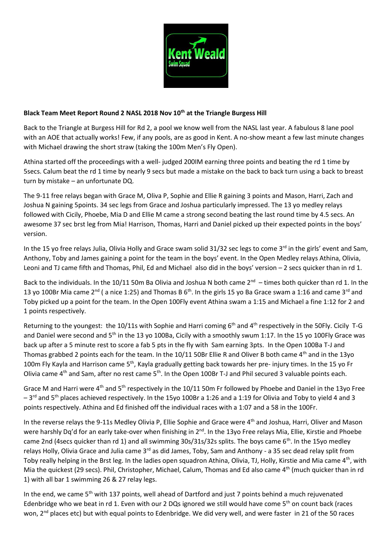

## **Black Team Meet Report Round 2 NASL 2018 Nov 10th at the Triangle Burgess Hill**

Back to the Triangle at Burgess Hill for Rd 2, a pool we know well from the NASL last year. A fabulous 8 lane pool with an AOE that actually works! Few, if any pools, are as good in Kent. A no-show meant a few last minute changes with Michael drawing the short straw (taking the 100m Men's Fly Open).

Athina started off the proceedings with a well- judged 200IM earning three points and beating the rd 1 time by 5secs. Calum beat the rd 1 time by nearly 9 secs but made a mistake on the back to back turn using a back to breast turn by mistake – an unfortunate DQ.

The 9-11 free relays began with Grace M, Oliva P, Sophie and Ellie R gaining 3 points and Mason, Harri, Zach and Joshua N gaining 5points. 34 sec legs from Grace and Joshua particularly impressed. The 13 yo medley relays followed with Cicily, Phoebe, Mia D and Ellie M came a strong second beating the last round time by 4.5 secs. An awesome 37 sec brst leg from Mia! Harrison, Thomas, Harri and Daniel picked up their expected points in the boys' version.

In the 15 yo free relays Julia, Olivia Holly and Grace swam solid 31/32 sec legs to come  $3^{rd}$  in the girls' event and Sam, Anthony, Toby and James gaining a point for the team in the boys' event. In the Open Medley relays Athina, Olivia, Leoni and TJ came fifth and Thomas, Phil, Ed and Michael also did in the boys' version – 2 secs quicker than in rd 1.

Back to the individuals. In the 10/11 50m Ba Olivia and Joshua N both came  $2^{nd}$  -times both quicker than rd 1. In the 13 yo 100Br Mia came 2<sup>nd</sup> ( a nice 1:25) and Thomas B 6<sup>th</sup>. In the girls 15 yo Ba Grace swam a 1:16 and came 3<sup>rd</sup> and Toby picked up a point for the team. In the Open 100Fly event Athina swam a 1:15 and Michael a fine 1:12 for 2 and 1 points respectively.

Returning to the youngest: the 10/11s with Sophie and Harri coming  $6<sup>th</sup>$  and  $4<sup>th</sup>$  respectively in the 50Fly. Cicily T-G and Daniel were second and 5<sup>th</sup> in the 13 yo 100Ba, Cicily with a smoothly swum 1:17. In the 15 yo 100Fly Grace was back up after a 5 minute rest to score a fab 5 pts in the fly with Sam earning 3pts. In the Open 100Ba T-J and Thomas grabbed 2 points each for the team. In the  $10/11$  50Br Ellie R and Oliver B both came  $4<sup>th</sup>$  and in the 13yo 100m Fly Kayla and Harrison came  $5<sup>th</sup>$ , Kayla gradually getting back towards her pre- injury times. In the 15 yo Fr Olivia came 4<sup>th</sup> and Sam, after no rest came 5<sup>th</sup>. In the Open 100Br T-J and Phil secured 3 valuable points each.

Grace M and Harri were 4<sup>th</sup> and 5<sup>th</sup> respectively in the 10/11 50m Fr followed by Phoebe and Daniel in the 13yo Free  $-3$ <sup>rd</sup> and 5<sup>th</sup> places achieved respectively. In the 15yo 100Br a 1:26 and a 1:19 for Olivia and Toby to yield 4 and 3 points respectively. Athina and Ed finished off the individual races with a 1:07 and a 58 in the 100Fr.

In the reverse relays the 9-11s Medley Olivia P, Ellie Sophie and Grace were 4<sup>th</sup> and Joshua, Harri, Oliver and Mason were harshly Dq'd for an early take-over when finishing in 2<sup>nd</sup>. In the 13yo Free relays Mia, Ellie, Kirstie and Phoebe came 2nd (4secs quicker than rd 1) and all swimming 30s/31s/32s splits. The boys came 6<sup>th</sup>. In the 15yo medley relays Holly, Olivia Grace and Julia came 3<sup>rd</sup> as did James, Toby, Sam and Anthony - a 35 sec dead relay split from Toby really helping in the Brst leg. In the ladies open squadron Athina, Olivia, TJ, Holly, Kirstie and Mia came  $4<sup>th</sup>$ , with Mia the quickest (29 secs). Phil, Christopher, Michael, Calum, Thomas and Ed also came 4<sup>th</sup> (much quicker than in rd 1) with all bar 1 swimming 26 & 27 relay legs.

In the end, we came 5<sup>th</sup> with 137 points, well ahead of Dartford and just 7 points behind a much rejuvenated Edenbridge who we beat in rd 1. Even with our 2 DQs ignored we still would have come  $5<sup>th</sup>$  on count back (races won, 2<sup>nd</sup> places etc) but with equal points to Edenbridge. We did very well, and were faster in 21 of the 50 races